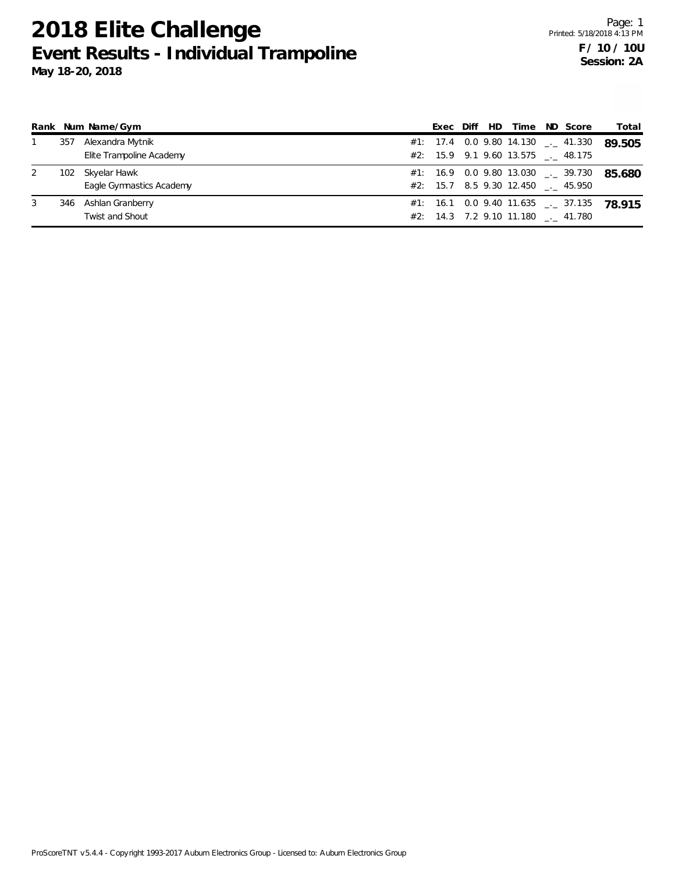|  | Rank Num Name/Gym        |  |  |  |                                            | Exec Diff HD Time ND Score | Total                                      |
|--|--------------------------|--|--|--|--------------------------------------------|----------------------------|--------------------------------------------|
|  | 357 Alexandra Mytnik     |  |  |  |                                            |                            | #1: 17.4 0.0 9.80 14.130 $-$ 41.330 89.505 |
|  | Elita Trampolina Academy |  |  |  | $\#2$ $\cdot$ 15.0 0.1 0.60 12.575 1.9.175 |                            |                                            |

|  | Elite Trampoline Academy |  | $\#2$ : 15.9 9.1 9.60 13.575 __ 48.175               |  |
|--|--------------------------|--|------------------------------------------------------|--|
|  | 102 Skyelar Hawk         |  | #1: 16.9 0.0 9.80 13.030 $\frac{1}{2}$ 39.730 85.680 |  |
|  | Eagle Gymnastics Academy |  | #2: 15.7 8.5 9.30 12.450 . 45.950                    |  |
|  | 346 Ashlan Granberry     |  | $\#1$ : 16.1 0.0 9.40 11.635 __ 37.135 78 915        |  |
|  | Twist and Shout          |  | $\#2$ : 14.3 7.2 9.10 11.180 $\_\_$ 41.780           |  |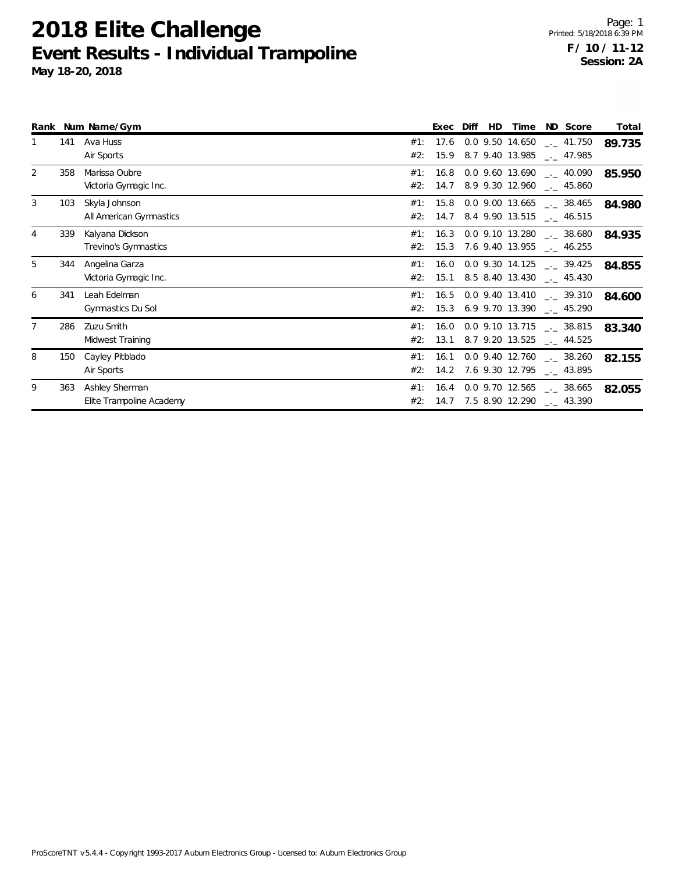**Rank Num Name/Gym Exec Diff HD Time ND Score Total** #2: 15.9 8.7 9.40 13.985 \_\_ 47.985 1 141 Ava Huss 14.650 and Huss 14.650 and Hussell Ava Hussell Ava Hussell Ava Hussell Ava Hussell Ava Hussell A Air Sports #2: 14.7 8.9 9.30 12.960 \_\_ 45.860 2 358 Marissa Oubre 13.690 Marissa Oubre 13.690 Marissa Oubre 13.690 Marissa Oubre 13.690 Marissa Oubre 13.690 Victoria Gymagic Inc. \_.\_ **85.950** 40.090 #1: 16.8 0.0 9.60 #2: 14.7 8.4 9.90 13.515 \_\_ 46.515 3 103 Skyla Johnson 13.6655 12.6656 12.6656 12.6656 12.6656 12.6656 12.6656 12.6656 12.6656 12.6656 12.6656 12.6656 12.6656 12.6656 12.6656 12.6656 12.6656 12.6656 12.6656 12.6656 12.6656 12.6656 12.6656 12.6656 12.6656 12 All American Gymnastics \_.\_ **84.980** 38.465 #1: 15.8 0.0 9.00 #2: 15.3 7.6 9.40 13.955 \_\_ 46.255 4 339 Kalyana Dickson 13.280 \_.\_ **84.935** 38.680 #1: 16.3 0.0 9.10 Trevino's Gymnastics #2: 15.1 8.5 8.40 13.430 \_\_ 45.430 5 344 Angelina Garza 14.125 and 14.125 and 14.125 and 14.125 and 14.125 and 14.125 and 14.125 and 14.125 and 14.125 and 14.125 and 14.125 and 14.125 and 14.125 and 14.125 and 14.125 and 14.125 and 14.125 and 14.125 and 14. Victoria Gymagic Inc. \_.\_ **84.855** 39.425 #1: 16.0 0.0 9.30 #2: 15.3 6.9 9.70 13.390 \_\_ 45.290 6 341 Leah Edelman 13.41 Leah Edelman 13.41 Leah Edelman 13.41 Leah Edelman 13.41 Leah Edelman 13.41 Gymnastics Du Sol \_.\_ **84.600** 39.310 #1: 16.5 0.0 9.40 #2: 13.1 8.7 9.20 13.525 \_\_\_ 44.525 7 286 Zuzu Smith 13.715 \_.\_ **83.340** 38.815 #1: 16.0 0.0 9.10 Midwest Training #2: 14.2 7.6 9.30 12.795 \_\_ 43.895 8 150 Cayley Pitblado 12.760 \_.\_ **82.155** 38.260 #1: 16.1 0.0 9.40 Air Sports #2: 14.7 7.5 8.90 12.290 \_\_\_ 43.390 9 363 Ashley Sherman 12.565 Elite Trampoline Academy \_.\_ **82.055** 38.665 #1: 16.4 0.0 9.70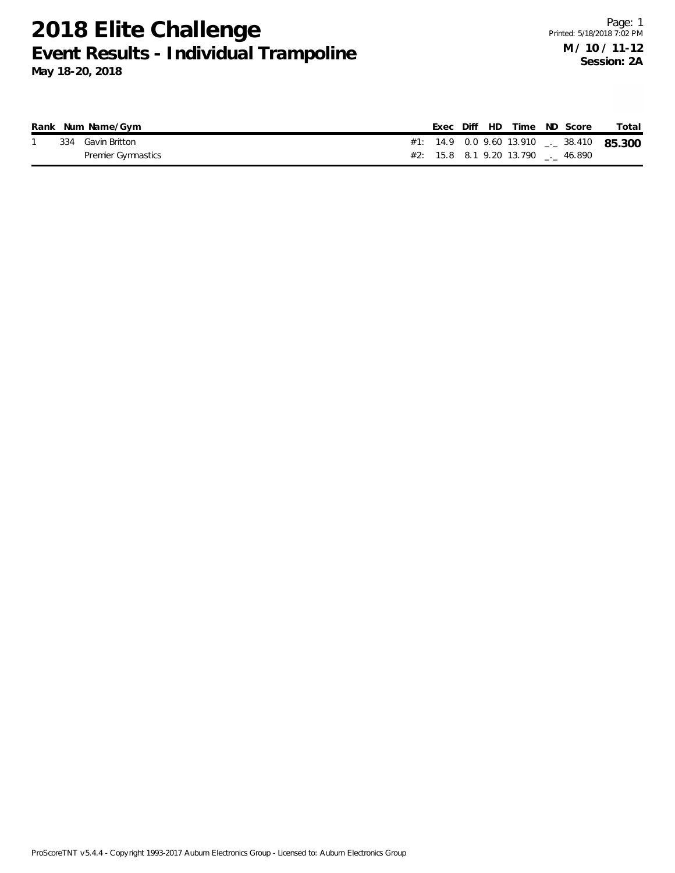|  | Rank Num Name/Gym         |  |  | Exec Diff HD Time ND Score        |  | Total                                                |
|--|---------------------------|--|--|-----------------------------------|--|------------------------------------------------------|
|  | 334 Gavin Britton         |  |  |                                   |  | #1: 14.9 0.0 9.60 13.910 $\frac{1}{2}$ 38.410 85.300 |
|  | <b>Premier Gymnastics</b> |  |  | #2: 15.8 8.1 9.20 13.790 . 46.890 |  |                                                      |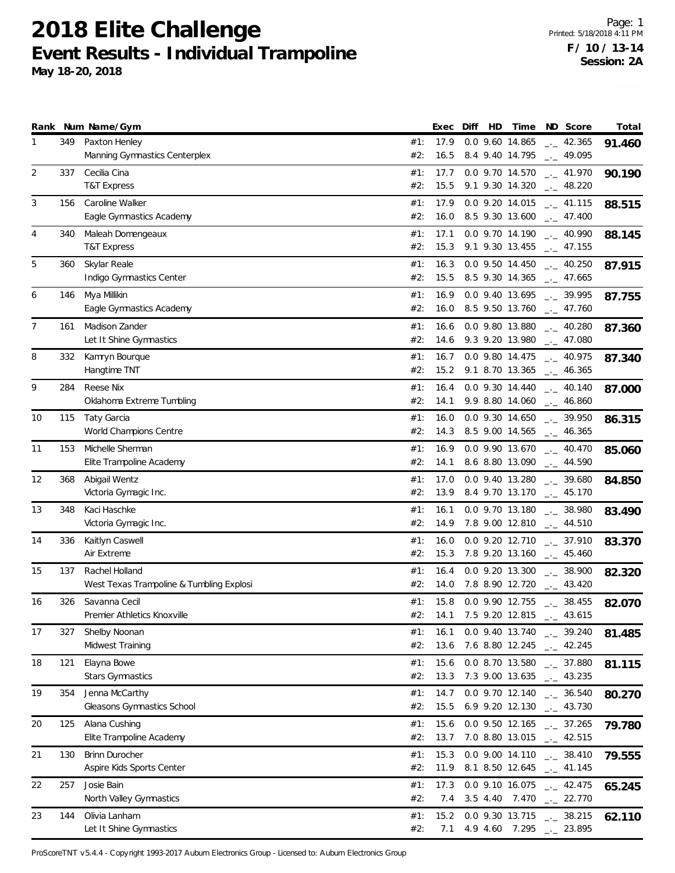|                |     | Rank Num Name/Gym                                          |            | Exec         | Diff | HD | Time                               | ND Score                   | Total  |
|----------------|-----|------------------------------------------------------------|------------|--------------|------|----|------------------------------------|----------------------------|--------|
| 1              | 349 | Paxton Henley                                              | #1:        | 17.9         |      |    | 0.0 9.60 14.865<br>8.4 9.40 14.795 | $\frac{1}{2}$ 42.365       | 91.460 |
|                |     | Manning Gymnastics Centerplex                              | #2:        | 16.5         |      |    |                                    | $-1 - 49.095$              |        |
| $\overline{2}$ | 337 | Cecilia Cina<br><b>T&amp;T Express</b>                     | #1:<br>#2: | 17.7<br>15.5 |      |    | 0.0 9.70 14.570<br>9.1 9.30 14.320 | $-2$ 41.970<br>$-2$ 48.220 | 90.190 |
| 3              | 156 | Caroline Walker                                            | #1:        | 17.9         |      |    | 0.0 9.20 14.015                    | $\_ - 41.115$              | 88.515 |
|                |     | Eagle Gymnastics Academy                                   | #2:        | 16.0         |      |    | 8.5 9.30 13.600                    | $-1$ 47.400                |        |
| 4              | 340 | Maleah Domengeaux                                          | #1:        | 17.1         |      |    | 0.0 9.70 14.190                    | $-1 - 40.990$              | 88.145 |
|                |     | T&T Express                                                | #2:        | 15.3         |      |    | 9.1 9.30 13.455                    | $\frac{1}{2}$ 47.155       |        |
| 5              | 360 | Skylar Reale                                               | #1:        | 16.3         |      |    | 0.0 9.50 14.450                    | $-2$ 40.250                | 87.915 |
|                |     | Indigo Gymnastics Center                                   | #2:        | 15.5         |      |    | 8.5 9.30 14.365                    | $\frac{1}{2}$ 47.665       |        |
| 6              | 146 | Mya Millikin                                               | #1:        | 16.9         |      |    | 0.0 9.40 13.695                    | $\frac{1}{2}$ 39.995       | 87.755 |
|                |     | Eagle Gymnastics Academy                                   | #2:        | 16.0         |      |    | 8.5 9.50 13.760                    | $\frac{1}{2}$ 47.760       |        |
| 7              | 161 | Madison Zander                                             | #1:        | 16.6         |      |    | 0.0 9.80 13.880                    | $-2$ 40.280                | 87.360 |
|                |     | Let It Shine Gymnastics                                    | #2:        | 14.6         |      |    | 9.3 9.20 13.980                    | $-2$ 47.080                |        |
| 8              | 332 | Kamryn Bourque                                             | #1:        | 16.7         |      |    | 0.0 9.80 14.475                    | $-1 - 40.975$              | 87.340 |
|                |     | Hangtime TNT                                               | #2:        | 15.2         |      |    | 9.1 8.70 13.365                    | $\frac{1}{2}$ 46.365       |        |
| 9              | 284 | Reese Nix                                                  | #1:        | 16.4         |      |    | 0.0 9.30 14.440                    | $\frac{1}{2}$ 40.140       | 87.000 |
|                |     | Oklahoma Extreme Tumbling                                  | #2:        | 14.1         |      |    | 9.9 8.80 14.060                    | $\frac{1}{2}$ 46.860       |        |
| 10             | 115 | Taty Garcia                                                | #1:        | 16.0         |      |    | 0.0 9.30 14.650                    | $-2$ 39.950                | 86.315 |
|                |     | World Champions Centre                                     | #2:        | 14.3         |      |    | 8.5 9.00 14.565                    | $-2$ 46.365                |        |
| 11             | 153 | Michelle Sherman                                           | #1:        | 16.9         |      |    | 0.0 9.90 13.670                    | $\frac{1}{2}$ 40.470       | 85.060 |
|                |     | Elite Trampoline Academy                                   | #2:        | 14.1         |      |    | 8.6 8.80 13.090                    | $-1$ 44.590                |        |
| 12             | 368 | Abigail Wentz                                              | #1:        | 17.0         |      |    | 0.0 9.40 13.280                    | $\frac{1}{2}$ 39.680       | 84.850 |
|                |     | Victoria Gymagic Inc.                                      | #2:        | 13.9         |      |    | 8.4 9.70 13.170                    | $\frac{1}{2}$ 45.170       |        |
| 13             | 348 | Kaci Haschke                                               | #1:        | 16.1         |      |    | 0.0 9.70 13.180                    | $-2$ 38.980                | 83.490 |
|                |     | Victoria Gymagic Inc.                                      | #2:        | 14.9         |      |    | 7.8 9.00 12.810                    | $\frac{1}{2}$ 44.510       |        |
| 14             | 336 | Kaitlyn Caswell<br>Air Extreme                             | #1:        | 16.0         |      |    | 0.0 9.20 12.710                    | $\sim$ 37.910              | 83.370 |
|                |     |                                                            | #2:        | 15.3         |      |    | 7.8 9.20 13.160                    | $-2$ 45.460                |        |
| 15             | 137 | Rachel Holland<br>West Texas Trampoline & Tumbling Explosi | #1:<br>#2: | 16.4<br>14.0 |      |    | 0.0 9.20 13.300<br>7.8 8.90 12.720 | $-2.58.900$<br>$-2$ 43.420 | 82.320 |
|                |     |                                                            |            |              |      |    |                                    |                            |        |
| 16             | 326 | Savanna Cecil<br>Premier Athletics Knoxville               | #1:<br>#2: | 15.8<br>14.1 |      |    | 0.0 9.90 12.755<br>7.5 9.20 12.815 | $-2$ 38.455<br>43.615      | 82.070 |
|                |     |                                                            |            |              |      |    |                                    | $-1$                       |        |
| 17             | 327 | Shelby Noonan<br>Midwest Training                          | #1:<br>#2: | 16.1<br>13.6 |      |    | 0.0 9.40 13.740<br>7.6 8.80 12.245 | $-2.39.240$<br>$-2.245$    | 81.485 |
| 18             | 121 | Elayna Bowe                                                | #1:        | 15.6         |      |    | 0.0 8.70 13.580                    | $-2$ 37.880                |        |
|                |     | <b>Stars Gymnastics</b>                                    | #2:        | 13.3         |      |    | 7.3 9.00 13.635                    | $-2$ 43.235                | 81.115 |
| 19             | 354 | Jenna McCarthy                                             | #1:        | 14.7         |      |    | 0.0 9.70 12.140                    | $\frac{1}{2}$ 36.540       |        |
|                |     | Gleasons Gymnastics School                                 | #2:        | 15.5         |      |    | 6.9 9.20 12.130                    | $\frac{1}{2}$ 43.730       | 80.270 |
| 20             | 125 | Alana Cushing                                              | #1:        | 15.6         |      |    | 0.0 9.50 12.165                    | $\frac{1}{2}$ 37.265       | 79.780 |
|                |     | Elite Trampoline Academy                                   | #2:        | 13.7         |      |    | 7.0 8.80 13.015                    | $\frac{1}{2}$ 42.515       |        |
| 21             | 130 | <b>Brinn Durocher</b>                                      | #1:        | 15.3         |      |    | 0.0 9.00 14.110                    | $\frac{1}{2}$ 38.410       | 79.555 |
|                |     | Aspire Kids Sports Center                                  | #2:        | 11.9         |      |    | 8.1 8.50 12.645                    | $\frac{1}{2}$ 41.145       |        |
| 22             | 257 | Josie Bain                                                 | #1:        | 17.3         |      |    | 0.0 9.10 16.075                    | $\frac{1}{2}$ 42.475       | 65.245 |
|                |     | North Valley Gymnastics                                    | #2:        | 7.4          |      |    | 3.5 4.40 7.470                     | $-22.770$                  |        |
| 23             | 144 | Olivia Lanham                                              | #1:        | 15.2         |      |    | 0.0 9.30 13.715                    | $-2$ 38.215                | 62.110 |
|                |     | Let It Shine Gymnastics                                    | #2:        | 7.1          |      |    | 4.9 4.60 7.295                     | 23.895                     |        |

ProScoreTNT v5.4.4 - Copyright 1993-2017 Auburn Electronics Group - Licensed to: Auburn Electronics Group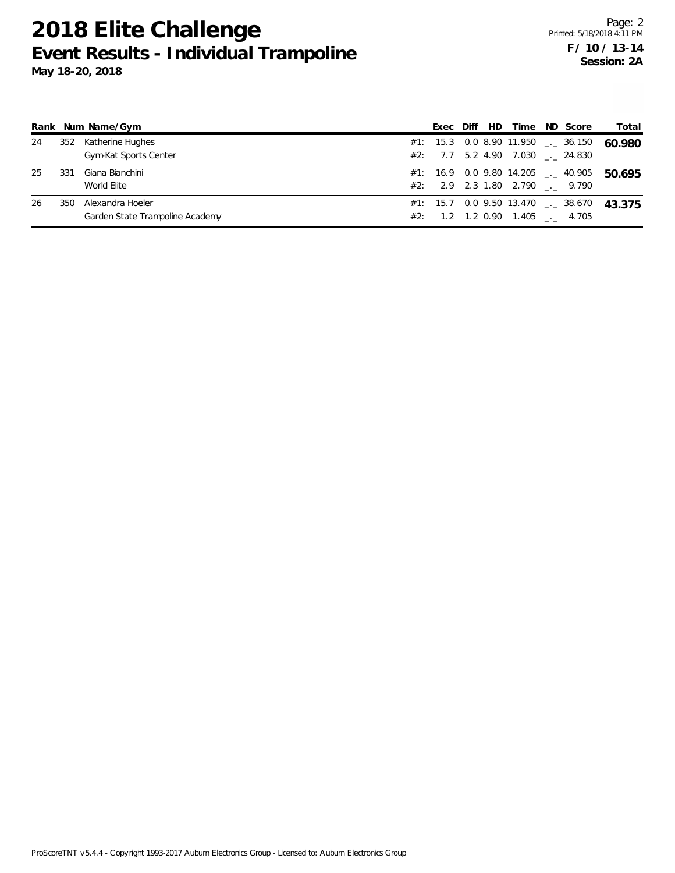|    |     | Rank Num Name/Gym                                   |     | Exec | Diff | HD. | Time                            | ND Score                                         | Total  |
|----|-----|-----------------------------------------------------|-----|------|------|-----|---------------------------------|--------------------------------------------------|--------|
| 24 | 352 | Katherine Hughes<br>Gym-Kat Sports Center           |     |      |      |     | #2: 7.7 5.2 4.90 7.030 . 24.830 | #1: 15.3 0.0 8.90 11.950 $\leq$ 36.150           | 60.980 |
| 25 | 331 | Giana Bianchini<br>World Elite                      |     |      |      |     | #2: 2.9 2.3 1.80 2.790 . 9.790  | #1: 16.9  0.0  9.80  14.205 $\frac{1}{2}$ 40.905 | 50.695 |
| 26 | 350 | Alexandra Hoeler<br>Garden State Trampoline Academy | #2: |      |      |     | 1.2 1.2 0.90 1.405 . 4.705      | $\#1$ : 15.7 0.0 9.50 13.470 __ 38.670           | 43.375 |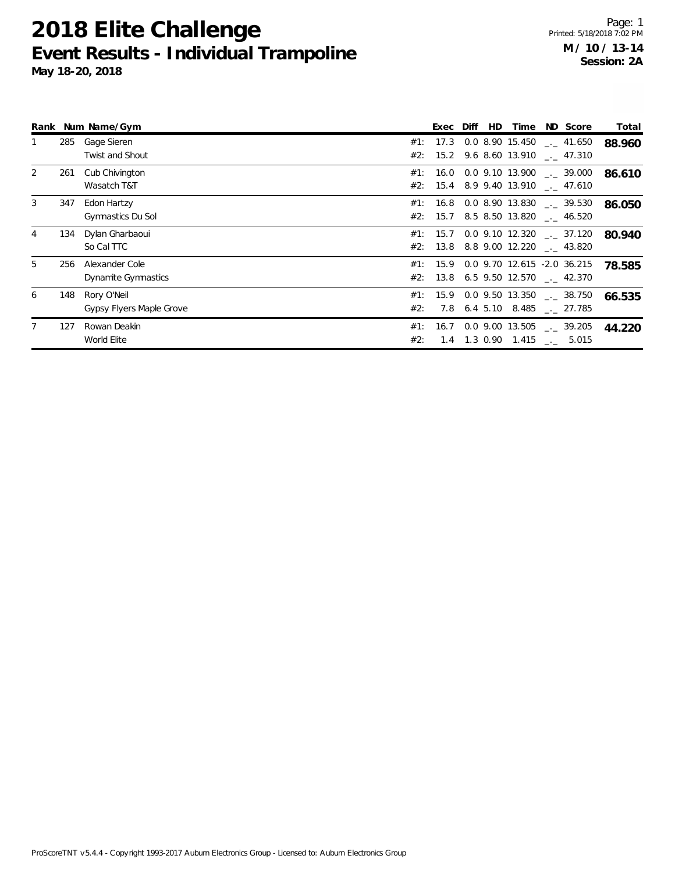**May 18-20, 2018**

|                |     | Rank Num Name/Gym                       |     | Exec Diff | <b>HD</b> | Time | ND Score                                                                             | Total  |
|----------------|-----|-----------------------------------------|-----|-----------|-----------|------|--------------------------------------------------------------------------------------|--------|
|                | 285 | Gage Sieren<br><b>Twist and Shout</b>   |     |           |           |      | #1: 17.3 0.0 8.90 15.450 $\ldots$ 41.650<br>#2: 15.2 9.6 8.60 13.910 $\ldots$ 47.310 | 88.960 |
| 2              | 261 | Cub Chivington<br>Wasatch T&T           |     |           |           |      | $#1: 16.0 0.0 9.10 13.900$ $-. 39.000$<br>#2: 15.4 8.9 9.40 13.910 $\ldots$ 47.610   | 86.610 |
| 3              | 347 | Edon Hartzy<br>Gymnastics Du Sol        |     |           |           |      | $#1: 16.8 0.0 8.90 13.830$ $-. 39.530$<br>$#2$ : 15.7 8.5 8.50 13.820 __ 46.520      | 86.050 |
| $\overline{4}$ |     | 134 Dylan Gharbaoui<br>So Cal TTC       |     |           |           |      | #1: 15.7 0.0 9.10 12.320 $\_\_$ 37.120<br>$#2$ : 13.8 8.8 9.00 12.220 ___ 43.820     | 80.940 |
| 5              | 256 | Alexander Cole<br>Dynamite Gymnastics   |     |           |           |      | #1: 15.9 0.0 9.70 12.615 -2.0 36.215<br>$#2$ : 13.8 6.5 9.50 12.570 __ 42.370        | 78.585 |
| 6              | 148 | Rory O'Neil<br>Gypsy Flyers Maple Grove | #2: |           |           |      | #1: 15.9 0.0 9.50 13.350 $\_\_$ 38.750<br>7.8 6.4 5.10 8.485 . 27.785                | 66.535 |
|                | 127 | Rowan Deakin<br>World Elite             | #2: | 1.4       | 1.3 0.90  |      | $#1: 16.7 0.0 9.00 13.505$ $\ldots$ 39.205<br>1.415 ___ 5.015                        | 44.220 |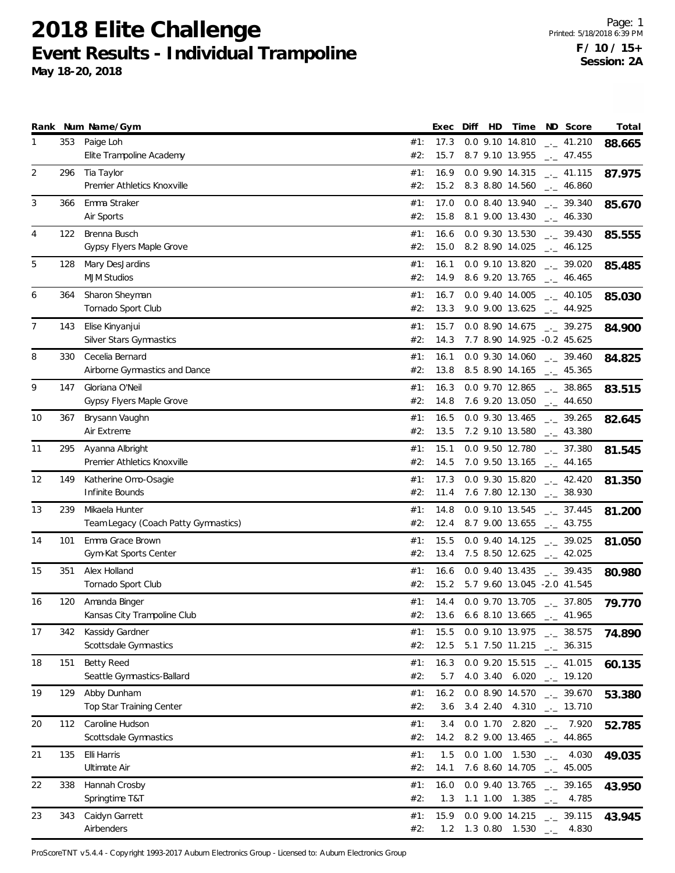**May 18-20, 2018**

|                |     | Rank Num Name/Gym                                |            | Exec         | Diff | HD         | Time                               |                        | ND Score                            | Total  |
|----------------|-----|--------------------------------------------------|------------|--------------|------|------------|------------------------------------|------------------------|-------------------------------------|--------|
| 1              | 353 | Paige Loh<br>Elite Trampoline Academy            | #1:<br>#2: | 17.3<br>15.7 |      |            | 0.0 9.10 14.810<br>8.7 9.10 13.955 |                        | $\frac{1}{2}$ 41.210<br>$-2$ 47.455 | 88.665 |
| 2              | 296 | Tia Taylor                                       | #1:        | 16.9         |      |            | 0.0 9.90 14.315                    |                        | $\frac{1}{2}$ 41.115                | 87.975 |
|                |     | Premier Athletics Knoxville                      | #2:        | 15.2         |      |            | 8.3 8.80 14.560                    |                        | $\frac{1}{2}$ 46.860                |        |
| 3              | 366 | Emma Straker<br>Air Sports                       | #1:<br>#2: | 17.0<br>15.8 |      |            | 0.0 8.40 13.940<br>8.1 9.00 13.430 |                        | $-2$ 39.340<br>$-1$ 46.330          | 85.670 |
| 4              | 122 | Brenna Busch                                     | #1:        | 16.6         |      |            | 0.0 9.30 13.530                    |                        | $-2$ 39.430                         |        |
|                |     | Gypsy Flyers Maple Grove                         | #2:        | 15.0         |      |            | 8.2 8.90 14.025                    |                        | $\frac{1}{2}$ 46.125                | 85.555 |
| 5              | 128 | Mary DesJardins                                  | #1:        | 16.1         |      |            | 0.0 9.10 13.820                    |                        | $-2$ 39.020                         | 85.485 |
|                |     | <b>MJM Studios</b>                               | #2:        | 14.9         |      |            | 8.6 9.20 13.765                    |                        | $-1$ 46.465                         |        |
| 6              | 364 | Sharon Sheyman                                   | #1:        | 16.7         |      |            | 0.0 9.40 14.005                    |                        | $\mu$ 40.105                        | 85.030 |
|                |     | Tornado Sport Club                               | #2:        | 13.3         |      |            | 9.0 9.00 13.625                    |                        | $\frac{1}{2}$ 44.925                |        |
| $\overline{7}$ | 143 | Elise Kinyanjui                                  | #1:        | 15.7         |      |            | 0.0 8.90 14.675                    |                        | $-2$ 39.275                         | 84.900 |
|                |     | Silver Stars Gymnastics                          | #2:        | 14.3         |      |            | 7.7 8.90 14.925 -0.2 45.625        |                        |                                     |        |
| 8              | 330 | Cecelia Bernard<br>Airborne Gymnastics and Dance | #1:<br>#2: | 16.1<br>13.8 |      |            | 0.0 9.30 14.060<br>8.5 8.90 14.165 |                        | $-2$ 39.460<br>$\frac{1}{2}$ 45.365 | 84.825 |
| 9              | 147 | Gloriana O'Neil                                  | #1:        | 16.3         |      |            | 0.0 9.70 12.865                    |                        | $\frac{1}{2}$ 38.865                |        |
|                |     | Gypsy Flyers Maple Grove                         | #2:        | 14.8         |      |            | 7.6 9.20 13.050                    |                        | $\frac{1}{2}$ 44.650                | 83.515 |
| 10             | 367 | Brysann Vaughn                                   | #1:        | 16.5         |      |            | 0.0 9.30 13.465                    |                        | $-2$ 39.265                         | 82.645 |
|                |     | Air Extreme                                      | #2:        | 13.5         |      |            | 7.2 9.10 13.580                    |                        | $-2$ 43.380                         |        |
| 11             | 295 | Ayanna Albright                                  | #1:        | 15.1         |      |            | 0.0 9.50 12.780                    |                        | $\frac{1}{2}$ 37.380                | 81.545 |
|                |     | Premier Athletics Knoxville                      | #2:        | 14.5         |      |            | 7.0 9.50 13.165                    |                        | $\frac{1}{2}$ 44.165                |        |
| 12             | 149 | Katherine Omo-Osagie                             | #1:        | 17.3         |      |            | 0.0 9.30 15.820                    |                        | $\frac{1}{2}$ 42.420                | 81.350 |
|                |     | Infinite Bounds                                  | #2:        | 11.4         |      |            | 7.6 7.80 12.130                    |                        | $-2$ 38.930                         |        |
| 13             | 239 | Mikaela Hunter                                   | #1:        | 14.8         |      |            | 0.0 9.10 13.545                    |                        | $-2$ 37.445                         | 81.200 |
|                |     | Team Legacy (Coach Patty Gymnastics)             | #2:        | 12.4         |      |            | 8.7 9.00 13.655                    |                        | $\frac{1}{2}$ 43.755                |        |
| 14             | 101 | Emma Grace Brown<br>Gym-Kat Sports Center        | #1:<br>#2: | 15.5<br>13.4 |      |            | 0.0 9.40 14.125<br>7.5 8.50 12.625 |                        | $\frac{1}{2}$ 39.025<br>$-2$ 42.025 | 81.050 |
| 15             | 351 | Alex Holland                                     | #1:        | 16.6         |      |            | 0.0 9.40 13.435                    |                        | $-2$ 39.435                         |        |
|                |     | Tornado Sport Club                               | #2:        | 15.2         |      |            | 5.7 9.60 13.045 -2.0 41.545        |                        |                                     | 80.980 |
| 16             | 120 | Amanda Binger                                    | #1:        | 14.4         |      |            | 0.0 9.70 13.705                    |                        | $-2$ 37.805                         | 79.770 |
|                |     | Kansas City Trampoline Club                      | #2:        | 13.6         |      |            | 6.6 8.10 13.665                    | $-1$                   | 41.965                              |        |
| 17             | 342 | Kassidy Gardner                                  | #1:        | 15.5         |      |            | 0.0 9.10 13.975                    |                        | $\frac{1}{2}$ 38.575                | 74.890 |
|                |     | Scottsdale Gymnastics                            | #2:        | 12.5         |      |            | 5.1 7.50 11.215                    |                        | $\frac{1}{2}$ 36.315                |        |
| 18             | 151 | <b>Betty Reed</b>                                | #1:        | 16.3         |      |            | 0.0 9.20 15.515                    |                        | $-1$ 41.015                         | 60.135 |
|                |     | Seattle Gymnastics-Ballard                       | #2:        | 5.7          |      |            | 4.0 3.40 6.020                     |                        | $-19.120$                           |        |
| 19             | 129 | Abby Dunham<br>Top Star Training Center          | #1:<br>#2: | 16.2<br>3.6  |      | $3.4$ 2.40 | 0.0 8.90 14.570<br>4.310           |                        | $-2.39.670$<br>$\frac{1}{2}$ 13.710 | 53.380 |
|                |     | Caroline Hudson                                  |            |              |      |            |                                    |                        |                                     |        |
| 20             | 112 | Scottsdale Gymnastics                            | #1:<br>#2: | 3.4<br>14.2  |      | 0.0 1.70   | 2.820<br>8.2 9.00 13.465           |                        | $-2.920$<br>$\frac{1}{2}$ 44.865    | 52.785 |
| 21             | 135 | Elli Harris                                      | #1:        | 1.5          |      |            | 0.0 1.00 1.530                     | $\rightarrow$          | 4.030                               | 49.035 |
|                |     | Ultimate Air                                     | #2:        | 14.1         |      |            | 7.6 8.60 14.705                    |                        | $\frac{1}{2}$ 45.005                |        |
| 22             | 338 | Hannah Crosby                                    | #1:        | 16.0         |      |            | 0.0 9.40 13.765                    |                        | $-2$ 39.165                         | 43.950 |
|                |     | Springtime T&T                                   | #2:        | 1.3          |      |            | 1.1 1.00 1.385                     | $-1$                   | 4.785                               |        |
| 23             | 343 | Caidyn Garrett                                   | #1:        | 15.9         |      |            | 0.0 9.00 14.215                    |                        | $\frac{1}{2}$ 39.115                | 43.945 |
|                |     | Airbenders                                       | #2:        | 1.2          |      |            | 1.3 0.80 1.530                     | $\Box\gamma\Box\gamma$ | 4.830                               |        |

ProScoreTNT v5.4.4 - Copyright 1993-2017 Auburn Electronics Group - Licensed to: Auburn Electronics Group